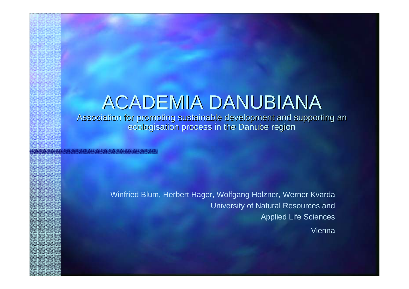### ACADEMIA DANUBIANA

Association for promoting sustainable development and supporting an ecologisation process in the Danube region

> Winfried Blum, Herbert Hager, Wolfgang Holzner, Werner Kvarda University of Natural Resources and Applied Life Sciences

> > Vienna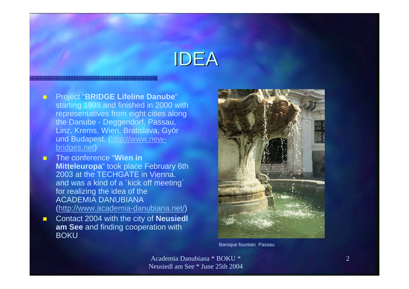### IDEA

- $\mathbf{E}$  Project "**BRIDGE Lifeline Danube**" starting 1998 and finished in 2000 with representatives from eight cities along the Danube - Deggendorf, Passau, Linz, Krems, Wien, Bratislava, Györ und Budapest. (http://www.newbridges.net)
- $\blacksquare$  The conference "**Wien in Mitteleuropa**" took place February 6th 2003 at the TECHGATE in Vienna. and was a kind of a ´kick off meeting´ for realizing the idea of the ACADEMIA DANUBIANA (http://www.academia-danubiana.net/)
- $\blacksquare$  Contact 2004 with the city of **Neusiedl am See** and finding cooperation with **BOKU**



Baroque fountain Passau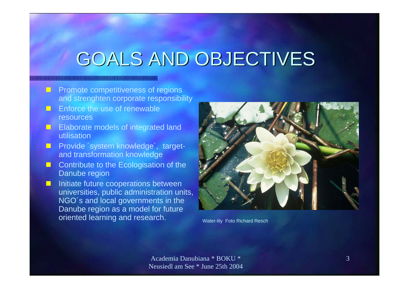### GOALS AND OBJECTIVES

- **PEC Promote competitiveness of regions** and strenghten corporate responsibility
- Enforce the use of renewable resources
- **E** Elaborate models of integrated land utilisation
- **Provide 'system knowledge', target**and transformation knowledge
- $\blacksquare$ **Contribute to the Ecologisation of the** Danube region
- **Initiate future cooperations between** universities, public administration units, NGO´s and local governments in the Danube region as a model for future oriented learning and research. Water-lily Foto Richard Resch

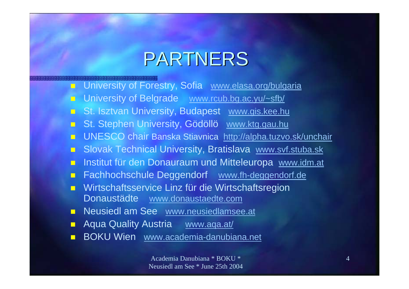### PARTNERS

- University of Forestry, Sofia www.elasa.org/bulgaria
- University of Belgrade www.rcub.bg.ac.yu/~sfb/
- St. Isztvan University, Budapest www.gis.kee.hu
- St. Stephen University, Gödöllö www.ktg.gau.hu
- **UNESCO chair Banska Stiavnica** http://alpha.tuzvo.sk/unchair
- Slovak Technical University, Bratislava www.svf.stuba.sk
- **n Institut für den Donauraum und Mitteleuropa** www.idm.at
- Fachhochschule Deggendorf www.fh-deggendorf.de
- $\Box$  Wirtschaftsservice Linz für die Wirtschaftsregion Donaustädte www.donaustaedte.com
- **Neusiedl am See** www.neusiedlamsee.at
- Aqua Quality Austria www.aqa.at/
- **BOKU Wien** www.academia-danubiana.net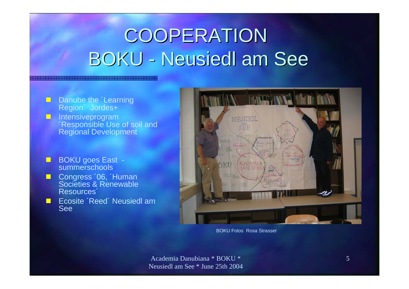# **COOPERATION** BOKU - Neusiedl am See

- **Danube the 'Learning'** Region´ Jordes+
- O **Intensiveprogram** ´Responsible Use of soil and Regional Development
- $\blacksquare$ ■ BOKU goes East summerschools
- Congress '06, 'Human Societies & Renewable Resources´
- ш Ecosite ´Reed´ Neusiedl am See



BOKU Fotos Rosa Strasser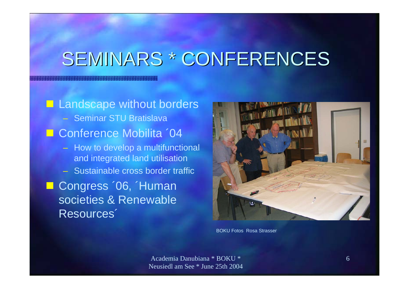### SEMINARS \* CONFERENCES

**Landscape without borders** – Seminar STU Bratislava **E** Conference Mobilita '04 – How to develop a multifunctional and integrated land utilisation – Sustainable cross border traffic ■ Congress '06, 'Human societies & Renewable Resources´



BOKU Fotos Rosa Strasser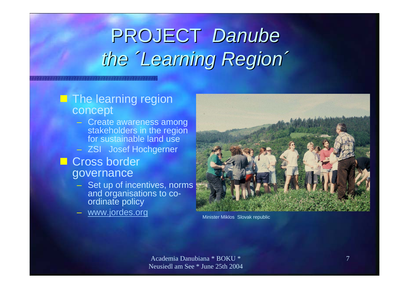# PROJECT Danube *the ´Learning Region´ ´Learning Region´*

#### **The learning region** concept

- Create awareness among stakeholders in the region for sustainable land use
- ZSI Josef Hochgerner

### **Cross border** governance

- Set up of incentives, norms and organisations to coordinate policy
- er and www.jordes.org Minister Miklos Slovak republic

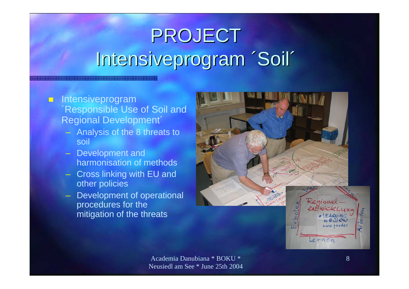# PROJECT Intensiveprogram 'Soil'

#### $\blacksquare$  Intensiveprogram ´Responsible Use of Soil and Regional Development´

- Analysis of the 8 threats to soil
- Development and harmonisation of methods
- Cross linking with EU and other policies
- Development of operational procedures for the mitigation of the threats

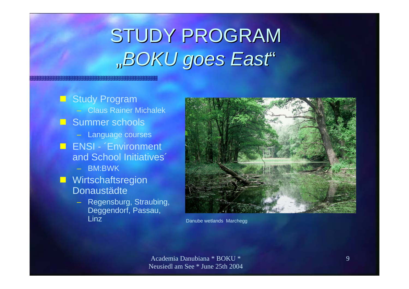# STUDY PROGRAM "*BOKU goes East*"

**E** Study Program – Claus Rainer Michalek **Summer schools** – Language courses **ENSI - Environment** and School Initiatives´ – BM:BWK**Nirtschaftsregion** Donaustädte Regensburg, Straubing, Deggendorf, Passau,<br>Linz



Danube wetlands Marchegg